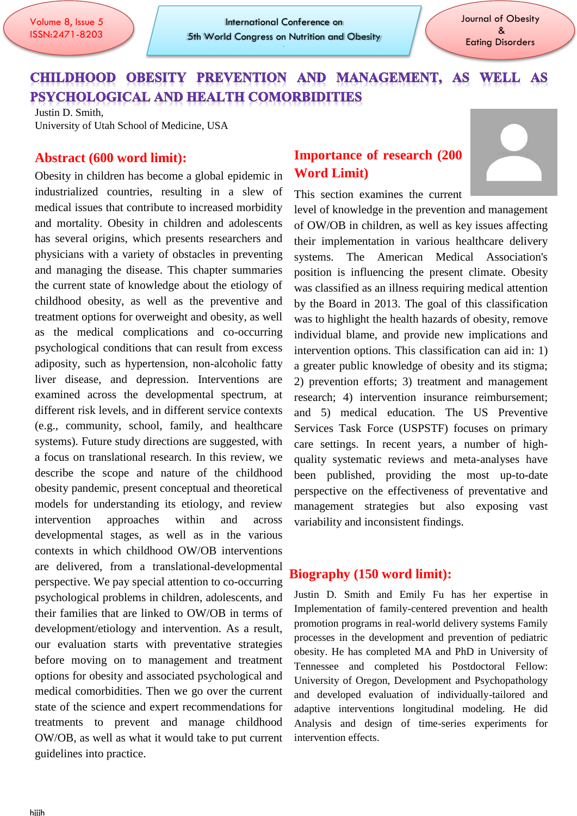$\overline{a}$ 

July 25-26 | London, UK

# CHILDHOOD OBESITY PREVENTION AND MANAGEMENT, AS WELL AS PSYCHOLOGICAL AND HEALTH COMORBIDITIES

Justin D. Smith, University of Utah School of Medicine, USA

#### **Abstract (600 word limit):**

Obesity in children has become a global epidemic in industrialized countries, resulting in a slew of medical issues that contribute to increased morbidity and mortality. Obesity in children and adolescents has several origins, which presents researchers and physicians with a variety of obstacles in preventing and managing the disease. This chapter summaries the current state of knowledge about the etiology of childhood obesity, as well as the preventive and treatment options for overweight and obesity, as well as the medical complications and co-occurring psychological conditions that can result from excess adiposity, such as hypertension, non-alcoholic fatty liver disease, and depression. Interventions are examined across the developmental spectrum, at different risk levels, and in different service contexts (e.g., community, school, family, and healthcare systems). Future study directions are suggested, with a focus on translational research. In this review, we describe the scope and nature of the childhood obesity pandemic, present conceptual and theoretical models for understanding its etiology, and review intervention approaches within and across developmental stages, as well as in the various contexts in which childhood OW/OB interventions are delivered, from a translational-developmental perspective. We pay special attention to co-occurring psychological problems in children, adolescents, and their families that are linked to OW/OB in terms of development/etiology and intervention. As a result, our evaluation starts with preventative strategies before moving on to management and treatment options for obesity and associated psychological and medical comorbidities. Then we go over the current state of the science and expert recommendations for treatments to prevent and manage childhood OW/OB, as well as what it would take to put current guidelines into practice.

## **Importance of research (200 Word Limit)**

This section examines the current



level of knowledge in the prevention and management of OW/OB in children, as well as key issues affecting their implementation in various healthcare delivery systems. The American Medical Association's position is influencing the present climate. Obesity was classified as an illness requiring medical attention by the Board in 2013. The goal of this classification was to highlight the health hazards of obesity, remove individual blame, and provide new implications and intervention options. This classification can aid in: 1) a greater public knowledge of obesity and its stigma; 2) prevention efforts; 3) treatment and management research; 4) intervention insurance reimbursement; and 5) medical education. The US Preventive Services Task Force (USPSTF) focuses on primary care settings. In recent years, a number of highquality systematic reviews and meta-analyses have been published, providing the most up-to-date perspective on the effectiveness of preventative and management strategies but also exposing vast variability and inconsistent findings.

#### **Biography (150 word limit):**

Justin D. Smith and Emily Fu has her expertise in Implementation of family-centered prevention and health promotion programs in real-world delivery systems Family processes in the development and prevention of pediatric obesity. He has completed MA and PhD in University of Tennessee and completed his Postdoctoral Fellow: University of Oregon, Development and Psychopathology and developed evaluation of individually-tailored and adaptive interventions longitudinal modeling. He did Analysis and design of time-series experiments for intervention effects.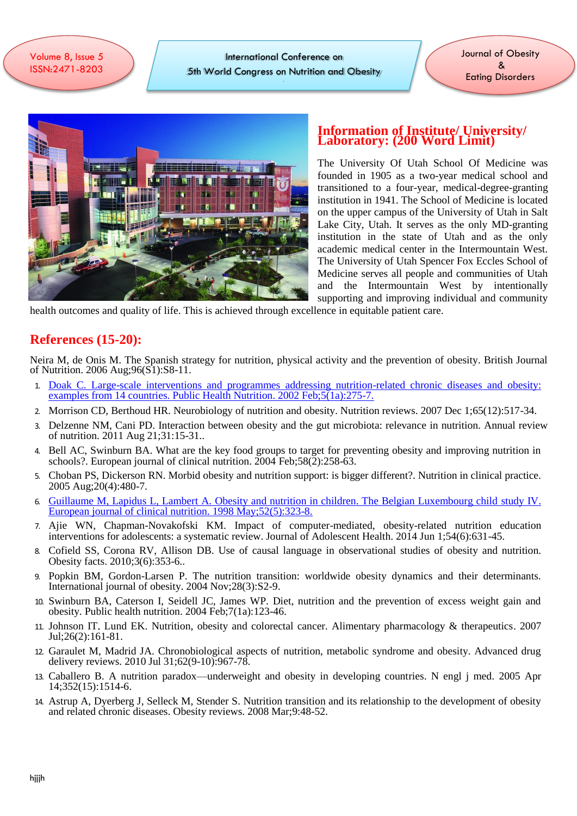í ISSN:2471-8203 Volume 8, Issue 5

 $\overline{a}$ 

International Conference on 5th World Congress on Nutrition and Obesity

July 25-26 | London, UK

Journal of Obesity & Eating Disorders



#### **Information of Institute/ University/ Laboratory: (200 Word Limit)**

The University Of Utah School Of Medicine was founded in 1905 as a two-year medical school and transitioned to a four-year, medical-degree-granting institution in 1941. The School of Medicine is located on the upper campus of the University of Utah in Salt Lake City, Utah. It serves as the only MD-granting institution in the state of Utah and as the only academic medical center in the Intermountain West. The University of Utah Spencer Fox Eccles School of Medicine serves all people and communities of Utah and the Intermountain West by intentionally supporting and improving individual and community

health outcomes and quality of life. This is achieved through excellence in equitable patient care.

### **References (15-20):**

Neira M, de Onis M. The Spanish strategy for nutrition, physical activity and the prevention of obesity. British Journal of Nutrition. 2006 Aug;96(S1):S8-11.

- 1. [Doak C. Large-scale interventions and programmes addressing nutrition-related chronic diseases and obesity:](https://obesity.imedpub.com/)  [examples from 14 countries. Public Health Nutrition. 2002 Feb;5\(1a\):275-7.](https://obesity.imedpub.com/)
- 2. Morrison CD, Berthoud HR. Neurobiology of nutrition and obesity. Nutrition reviews. 2007 Dec 1;65(12):517-34.
- 3. Delzenne NM, Cani PD. Interaction between obesity and the gut microbiota: relevance in nutrition. Annual review of nutrition. 2011 Aug 21;31:15-31..
- 4. Bell AC, Swinburn BA. What are the key food groups to target for preventing obesity and improving nutrition in schools?. European journal of clinical nutrition. 2004 Feb; 58(2): 258-63.
- 5. Choban PS, Dickerson RN. Morbid obesity and nutrition support: is bigger different?. Nutrition in clinical practice. 2005 Aug;20(4):480-7.
- 6. [Guillaume M, Lapidus L, Lambert A. Obesity and nutrition in children. The Belgian Luxembourg child](https://obesity.imedpub.com/archive.php) study IV. [European journal of clinical nutrition. 1998 May;52\(5\):323-8.](https://obesity.imedpub.com/archive.php)
- 7. Ajie WN, Chapman-Novakofski KM. Impact of computer-mediated, obesity-related nutrition education interventions for adolescents: a systematic review. Journal of Adolescent Health. 2014 Jun 1;54(6):631-45.
- 8. Cofield SS, Corona RV, Allison DB. Use of causal language in observational studies of obesity and nutrition. Obesity facts. 2010;3(6):353-6..
- 9. Popkin BM, Gordon-Larsen P. The nutrition transition: worldwide obesity dynamics and their determinants. International journal of obesity. 2004 Nov;28(3):S2-9.
- 10. Swinburn BA, Caterson I, Seidell JC, James WP. Diet, nutrition and the prevention of excess weight gain and obesity. Public health nutrition. 2004 Feb;7(1a):123-46.
- 11. Johnson IT, Lund EK. Nutrition, obesity and colorectal cancer. Alimentary pharmacology & therapeutics. 2007 Jul;26(2):161-81.
- 12. Garaulet M, Madrid JA. Chronobiological aspects of nutrition, metabolic syndrome and obesity. Advanced drug delivery reviews. 2010 Jul 31;62(9-10):967-78.
- 13. Caballero B. A nutrition paradox—underweight and obesity in developing countries. N engl j med. 2005 Apr 14;352(15):1514-6.
- 14. Astrup A, Dyerberg J, Selleck M, Stender S. Nutrition transition and its relationship to the development of obesity and related chronic diseases. Obesity reviews. 2008 Mar;9:48-52.